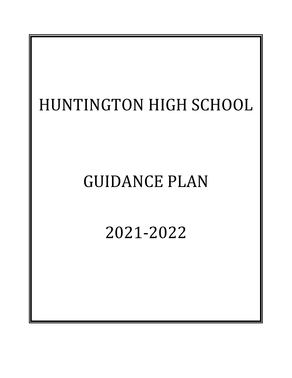# HUNTINGTON HIGH SCHOOL GUIDANCE PLAN 2021-2022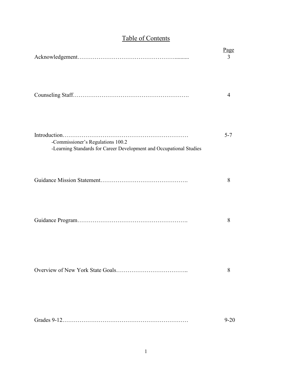|                                                                                                          | Page<br>3 |
|----------------------------------------------------------------------------------------------------------|-----------|
|                                                                                                          | 4         |
| -Commissioner's Regulations 100.2<br>-Learning Standards for Career Development and Occupational Studies | $5 - 7$   |
|                                                                                                          | 8         |
|                                                                                                          | 8         |
|                                                                                                          | 8         |
|                                                                                                          | $9 - 20$  |

# Table of Contents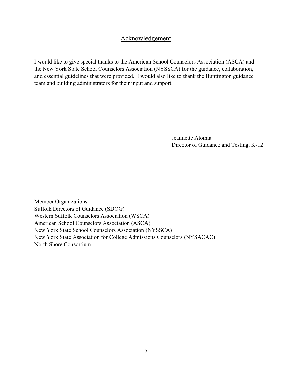# Acknowledgement

I would like to give special thanks to the American School Counselors Association (ASCA) and the New York State School Counselors Association (NYSSCA) for the guidance, collaboration, and essential guidelines that were provided. I would also like to thank the Huntington guidance team and building administrators for their input and support.

> Jeannette Alomia Director of Guidance and Testing, K-12

Member Organizations Suffolk Directors of Guidance (SDOG) Western Suffolk Counselors Association (WSCA) American School Counselors Association (ASCA) New York State School Counselors Association (NYSSCA) New York State Association for College Admissions Counselors (NYSACAC) North Shore Consortium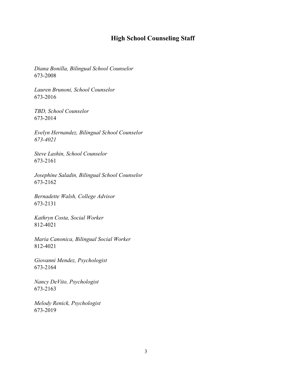# **High School Counseling Staff**

*Diana Bonilla, Bilingual School Counselor* 673-2008

*Lauren Brunoni, School Counselor* 673-2016

*TBD, School Counselor* 673-2014

*Evelyn Hernandez, Bilingual School Counselor 673-4021*

*Steve Lashin, School Counselor* 673-2161

*Josephine Saladin, Bilingual School Counselor* 673-2162

*Bernadette Walsh, College Advisor* 673-2131

*Kathryn Costa, Social Worker* 812-4021

*Maria Canonica, Bilingual Social Worker* 812-4021

*Giovanni Mendez, Psychologist* 673-2164

*Nancy DeVito, Psychologist* 673-2163

*Melody Renick, Psychologist* 673-2019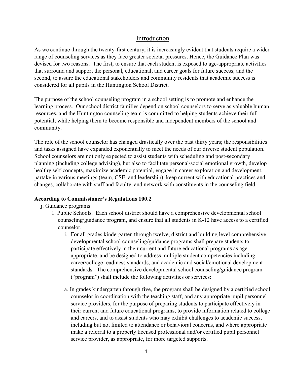## Introduction

As we continue through the twenty-first century, it is increasingly evident that students require a wider range of counseling services as they face greater societal pressures. Hence, the Guidance Plan was devised for two reasons. The first, to ensure that each student is exposed to age-appropriate activities that surround and support the personal, educational, and career goals for future success; and the second, to assure the educational stakeholders and community residents that academic success is considered for all pupils in the Huntington School District.

The purpose of the school counseling program in a school setting is to promote and enhance the learning process. Our school district families depend on school counselors to serve as valuable human resources, and the Huntington counseling team is committed to helping students achieve their full potential; while helping them to become responsible and independent members of the school and community.

The role of the school counselor has changed drastically over the past thirty years; the responsibilities and tasks assigned have expanded exponentially to meet the needs of our diverse student population. School counselors are not only expected to assist students with scheduling and post-secondary planning (including college advising), but also to facilitate personal/social emotional growth, develop healthy self-concepts, maximize academic potential, engage in career exploration and development, partake in various meetings (team, CSE, and leadership), keep current with educational practices and changes, collaborate with staff and faculty, and network with constituents in the counseling field.

#### **According to Commissioner's Regulations 100.2**

- j. Guidance programs
	- 1. Public Schools. Each school district should have a comprehensive developmental school counseling/guidance program, and ensure that all students in K-12 have access to a certified counselor.
		- i. For all grades kindergarten through twelve, district and building level comprehensive developmental school counseling/guidance programs shall prepare students to participate effectively in their current and future educational programs as age appropriate, and be designed to address multiple student competencies including career/college readiness standards, and academic and social/emotional development standards. The comprehensive developmental school counseling/guidance program ("program") shall include the following activities or services:
		- a. In grades kindergarten through five, the program shall be designed by a certified school counselor in coordination with the teaching staff, and any appropriate pupil personnel service providers, for the purpose of preparing students to participate effectively in their current and future educational programs, to provide information related to college and careers, and to assist students who may exhibit challenges to academic success, including but not limited to attendance or behavioral concerns, and where appropriate make a referral to a properly licensed professional and/or certified pupil personnel service provider, as appropriate, for more targeted supports.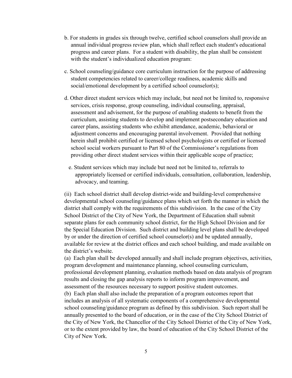- b. For students in grades six through twelve, certified school counselors shall provide an annual individual progress review plan, which shall reflect each student's educational progress and career plans. For a student with disability, the plan shall be consistent with the student's individualized education program:
- c. School counseling/guidance core curriculum instruction for the purpose of addressing student competencies related to career/college readiness, academic skills and social/emotional development by a certified school counselor(s);
- d. Other direct student services which may include, but need not be limited to, responsive services, crisis response, group counseling, individual counseling, appraisal, assessment and advisement, for the purpose of enabling students to benefit from the curriculum, assisting students to develop and implement postsecondary education and career plans, assisting students who exhibit attendance, academic, behavioral or adjustment concerns and encouraging parental involvement. Provided that nothing herein shall prohibit certified or licensed school psychologists or certified or licensed school social workers pursuant to Part 80 of the Commissioner's regulations from providing other direct student services within their applicable scope of practice;
	- e. Student services which may include but need not be limited to, referrals to appropriately licensed or certified individuals, consultation, collaboration, leadership, advocacy, and teaming.

(ii) Each school district shall develop district-wide and building-level comprehensive developmental school counseling/guidance plans which set forth the manner in which the district shall comply with the requirements of this subdivision. In the case of the City School District of the City of New York, the Department of Education shall submit separate plans for each community school district, for the High School Division and for the Special Education Division. Such district and building level plans shall be developed by or under the direction of certified school counselor(s) and be updated annually, available for review at the district offices and each school building, and made available on the district's website.

(a) Each plan shall be developed annually and shall include program objectives, activities, program development and maintenance planning, school counseling curriculum, professional development planning, evaluation methods based on data analysis of program results and closing the gap analysis reports to inform program improvement, and assessment of the resources necessary to support positive student outcomes.

(b) Each plan shall also include the preparation of a program outcomes report that includes an analysis of all systematic components of a comprehensive developmental school counseling/guidance program as defined by this subdivision. Such report shall be annually presented to the board of education, or in the case of the City School District of the City of New York, the Chancellor of the City School District of the City of New York, or to the extent provided by law, the board of education of the City School District of the City of New York.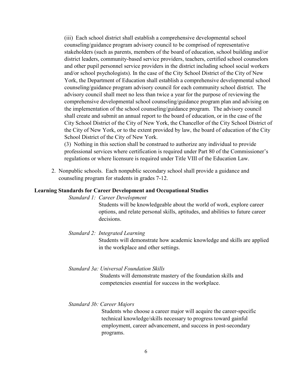(iii) Each school district shall establish a comprehensive developmental school counseling/guidance program advisory council to be comprised of representative stakeholders (such as parents, members of the board of education, school building and/or district leaders, community-based service providers, teachers, certified school counselors and other pupil personnel service providers in the district including school social workers and/or school psychologists). In the case of the City School District of the City of New York, the Department of Education shall establish a comprehensive developmental school counseling/guidance program advisory council for each community school district. The advisory council shall meet no less than twice a year for the purpose of reviewing the comprehensive developmental school counseling/guidance program plan and advising on the implementation of the school counseling/guidance program. The advisory council shall create and submit an annual report to the board of education, or in the case of the City School District of the City of New York, the Chancellor of the City School District of the City of New York, or to the extent provided by law, the board of education of the City School District of the City of New York.

(3) Nothing in this section shall be construed to authorize any individual to provide professional services where certification is required under Part 80 of the Commissioner's regulations or where licensure is required under Title VIII of the Education Law.

 2. Nonpublic schools. Each nonpublic secondary school shall provide a guidance and counseling program for students in grades 7-12.

#### **Learning Standards for Career Development and Occupational Studies**

#### *Standard 1: Career Development*

Students will be knowledgeable about the world of work, explore career options, and relate personal skills, aptitudes, and abilities to future career decisions.

#### *Standard 2: Integrated Learning*

 Students will demonstrate how academic knowledge and skills are applied in the workplace and other settings.

#### *Standard 3a: Universal Foundation Skills*

 Students will demonstrate mastery of the foundation skills and competencies essential for success in the workplace.

#### *Standard 3b: Career Majors*

Students who choose a career major will acquire the career-specific technical knowledge/skills necessary to progress toward gainful employment, career advancement, and success in post-secondary programs.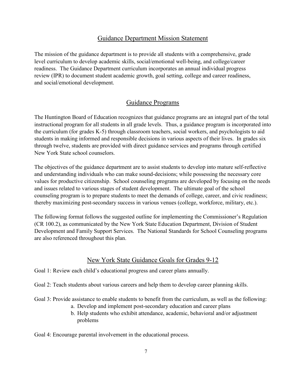# Guidance Department Mission Statement

The mission of the guidance department is to provide all students with a comprehensive, grade level curriculum to develop academic skills, social/emotional well-being, and college/career readiness. The Guidance Department curriculum incorporates an annual individual progress review (IPR) to document student academic growth, goal setting, college and career readiness, and social/emotional development.

# Guidance Programs

The Huntington Board of Education recognizes that guidance programs are an integral part of the total instructional program for all students in all grade levels. Thus, a guidance program is incorporated into the curriculum (for grades K-5) through classroom teachers, social workers, and psychologists to aid students in making informed and responsible decisions in various aspects of their lives. In grades six through twelve, students are provided with direct guidance services and programs through certified New York State school counselors.

The objectives of the guidance department are to assist students to develop into mature self-reflective and understanding individuals who can make sound-decisions; while possessing the necessary core values for productive citizenship. School counseling programs are developed by focusing on the needs and issues related to various stages of student development. The ultimate goal of the school counseling program is to prepare students to meet the demands of college, career, and civic readiness; thereby maximizing post-secondary success in various venues (college, workforce, military, etc.).

The following format follows the suggested outline for implementing the Commissioner's Regulation (CR 100.2), as communicated by the New York State Education Department, Division of Student Development and Family Support Services. The National Standards for School Counseling programs are also referenced throughout this plan.

# New York State Guidance Goals for Grades 9-12

Goal 1: Review each child's educational progress and career plans annually.

Goal 2: Teach students about various careers and help them to develop career planning skills.

Goal 3: Provide assistance to enable students to benefit from the curriculum, as well as the following:

- a. Develop and implement post-secondary education and career plans
- b. Help students who exhibit attendance, academic, behavioral and/or adjustment problems

Goal 4: Encourage parental involvement in the educational process.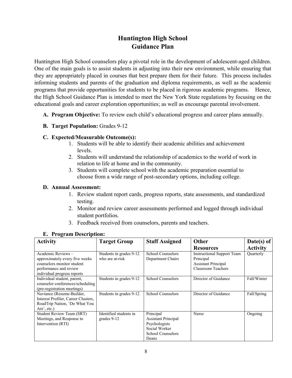# **Huntington High School Guidance Plan**

Huntington High School counselors play a pivotal role in the development of adolescent-aged children. One of the main goals is to assist students in adjusting into their new environment, while ensuring that they are appropriately placed in courses that best prepare them for their future. This process includes informing students and parents of the graduation and diploma requirements, as well as the academic programs that provide opportunities for students to be placed in rigorous academic programs. Hence, the High School Guidance Plan is intended to meet the New York State regulations by focusing on the educational goals and career exploration opportunities; as well as encourage parental involvement.

- **A. Program Objective:** To review each child's educational progress and career plans annually.
- **B. Target Population:** Grades 9-12

#### **C. Expected/Measurable Outcome(s):**

- 1. Students will be able to identify their academic abilities and achievement levels.
- 2. Students will understand the relationship of academics to the world of work in relation to life at home and in the community.
- 3. Students will complete school with the academic preparation essential to choose from a wide range of post-secondary options, including college.

#### **D. Annual Assessment:**

- 1. Review student report cards, progress reports, state assessments, and standardized testing.
- 2. Monitor and review career assessments performed and logged through individual student portfolios.
- 3. Feedback received from counselors, parents and teachers.

| <b>Activity</b>                                              | <b>Target Group</b>     | <b>Staff Assigned</b>      | Other                                   | Date(s) of      |
|--------------------------------------------------------------|-------------------------|----------------------------|-----------------------------------------|-----------------|
|                                                              |                         |                            | <b>Resources</b>                        | <b>Activity</b> |
| Academic Reviews-                                            | Students in grades 9-12 | School Counselors          | <b>Instructional Support Team</b>       | Quarterly       |
| approximately every five weeks<br>counselors monitor student | who are at-risk         | Department Chairs          | Principal<br><b>Assistant Principal</b> |                 |
| performance and review                                       |                         |                            | <b>Classroom Teachers</b>               |                 |
| individual progress reports                                  |                         |                            |                                         |                 |
| Individual student, parent,                                  | Students in grades 9-12 | School Counselors          | Director of Guidance                    | Fall/Winter     |
| counselor conferences/scheduling                             |                         |                            |                                         |                 |
| (pre-registration meetings)                                  |                         |                            |                                         |                 |
| Naviance (Resume-Builder,                                    | Students in grades 9-12 | School Counselors          | Director of Guidance                    | Fall/Spring     |
| Interest Profiler, Career Clusters,                          |                         |                            |                                         |                 |
| RoadTrip Nation, 'Do What You                                |                         |                            |                                         |                 |
| Are', etc.)                                                  |                         |                            |                                         |                 |
| Student Review Team (SRT)                                    | Identified students in  | Principal                  | Nurse                                   | Ongoing         |
| Meetings, and Response to                                    | grades 9-12             | <b>Assistant Principal</b> |                                         |                 |
| Intervention (RTI)                                           |                         | Psychologists              |                                         |                 |
|                                                              |                         | Social Worker              |                                         |                 |
|                                                              |                         | School Counselors          |                                         |                 |
|                                                              |                         | Deans                      |                                         |                 |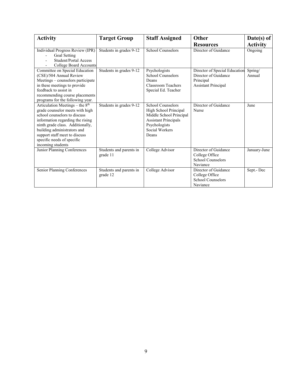| <b>Activity</b>                                                                                                                                                                                                                                                                               | <b>Target Group</b>                 | <b>Staff Assigned</b>                                                                                                                                   | Other                                                                                            | Date(s) of        |
|-----------------------------------------------------------------------------------------------------------------------------------------------------------------------------------------------------------------------------------------------------------------------------------------------|-------------------------------------|---------------------------------------------------------------------------------------------------------------------------------------------------------|--------------------------------------------------------------------------------------------------|-------------------|
|                                                                                                                                                                                                                                                                                               |                                     |                                                                                                                                                         | <b>Resources</b>                                                                                 | <b>Activity</b>   |
| Individual Progress Review (IPR)<br>Goal Setting<br>Student/Portal Access<br>College Board Accounts                                                                                                                                                                                           | Students in grades 9-12             | School Counselors                                                                                                                                       | Director of Guidance                                                                             | Ongoing           |
| Committee on Special Education<br>(CSE)/504 Annual Review<br>Meetings - counselors participate<br>in these meetings to provide<br>feedback to assist in<br>recommending course placements<br>programs for the following year.                                                                 | Students in grades 9-12             | Psychologists<br>School Counselors<br>Deans<br>Classroom Teachers<br>Special Ed. Teacher                                                                | Director of Special Education<br>Director of Guidance<br>Principal<br><b>Assistant Principal</b> | Spring/<br>Annual |
| Articulation Meetings - the 8th<br>grade counselor meets with high<br>school counselors to discuss<br>information regarding the rising<br>ninth grade class. Additionally,<br>building administrators and<br>support staff meet to discuss<br>specific needs of specific<br>incoming students | Students in grades 9-12             | <b>School Counselors</b><br>High School Principal<br>Middle School Principal<br><b>Assistant Principals</b><br>Psychologists<br>Social Workers<br>Deans | Director of Guidance<br>Nurse                                                                    | June              |
| Junior Planning Conferences                                                                                                                                                                                                                                                                   | Students and parents in<br>grade 11 | College Advisor                                                                                                                                         | Director of Guidance<br>College Office<br><b>School Counselors</b><br>Naviance                   | January-June      |
| Senior Planning Conferences                                                                                                                                                                                                                                                                   | Students and parents in<br>grade 12 | College Advisor                                                                                                                                         | Director of Guidance<br>College Office<br><b>School Counselors</b><br>Naviance                   | Sept.-Dec         |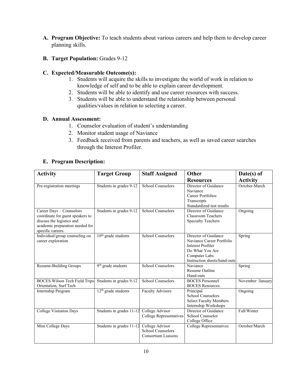**A. Program Objective:** To teach students about various careers and help them to develop career planning skills.

#### **B. Target Population:** Grades 9-12

#### **C. Expected/Measurable Outcome(s):**

- 1. Students will acquire the skills to investigate the world of work in relation to knowledge of self and to be able to explain career development.
- 2. Students will be able to identify and use career resources with success.
- 3. Students will be able to understand the relationship between personal qualities/values in relation to selecting a career.

#### **D. Annual Assessment:**

- 1. Counselor evaluation of student's understanding
- 2. Monitor student usage of Naviance
- 3. Feedback received from parents and teachers, as well as saved career searches through the Interest Profiler.

| <b>Activity</b>                                                                                                                                   | <b>Target Group</b>            | <b>Staff Assigned</b>                                                     | Other                                                                                                                                             | Date(s) of        |
|---------------------------------------------------------------------------------------------------------------------------------------------------|--------------------------------|---------------------------------------------------------------------------|---------------------------------------------------------------------------------------------------------------------------------------------------|-------------------|
|                                                                                                                                                   |                                |                                                                           | <b>Resources</b>                                                                                                                                  | <b>Activity</b>   |
| Pre-registration meetings                                                                                                                         | Students in grades 9-12        | <b>School Counselors</b>                                                  | Director of Guidance<br>Naviance<br>Career Portfolios<br>Transcripts<br>Standardized test results                                                 | October-March     |
| Career Days - Counselors<br>coordinate for guest speakers to<br>discuss the logistics and<br>academic preparation needed for<br>specific careers. | Students in grades 9-12        | <b>School Counselors</b>                                                  | Director of Guidance<br>Classroom Teachers<br><b>Specialty Teachers</b>                                                                           | Ongoing           |
| Individual/group counseling on<br>career exploration                                                                                              | $10th$ grade students          | <b>School Counselors</b>                                                  | Director of Guidance<br>Naviance Career Portfolio<br><b>Interest Profiler</b><br>Do What You Are<br>Computer Labs<br>Instruction sheets/hand-outs | Spring            |
| Resume-Building Groups                                                                                                                            | 9 <sup>th</sup> grade students | <b>School Counselors</b>                                                  | Naviance<br>Resume Outline<br>Hand-outs                                                                                                           | Spring            |
| <b>BOCES</b> Wilson Tech Field Trips<br>Orientation, Surf Tech                                                                                    | Students in grades 9-12        | <b>School Counselors</b>                                                  | <b>BOCES</b> Personnel<br><b>BOCES</b> Resources                                                                                                  | November /January |
| Internship Program                                                                                                                                | $12th$ grade students          | <b>Faculty Advisors</b>                                                   | Principal<br><b>School Counselors</b><br><b>Select Faculty Members</b><br>Internship Workshops                                                    | Ongoing           |
| <b>College Visitation Days</b>                                                                                                                    | Students in grades 11-12       | College Advisor<br>College Representatives                                | Director of Guidance<br>School Counselor<br>College Office                                                                                        | Fall/Winter       |
| Mini College Days                                                                                                                                 | Students in grades 11-12       | College Advisor<br><b>School Counselors</b><br><b>Consortium Liaisons</b> | <b>College Representatives</b>                                                                                                                    | October/March     |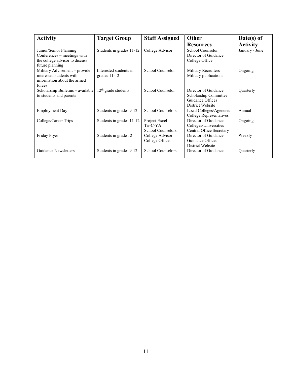| <b>Activity</b>                                                                                            | <b>Target Group</b>                      | <b>Staff Assigned</b>                                   | <b>Other</b><br><b>Resources</b>                                                      | Date(s) of<br><b>Activity</b> |
|------------------------------------------------------------------------------------------------------------|------------------------------------------|---------------------------------------------------------|---------------------------------------------------------------------------------------|-------------------------------|
| Junior/Senior Planning<br>Conferences – meetings with<br>the college advisor to discuss<br>future planning | Students in grades 11-12                 | College Advisor                                         | School Counselor<br>Director of Guidance<br>College Office                            | January - June                |
| Military Advisement - provide<br>interested students with<br>information about the armed<br>forces         | Interested students in<br>grades $11-12$ | School Counselor                                        | <b>Military Recruiters</b><br>Military publications                                   | Ongoing                       |
| Scholarship Bulletins - available<br>to students and parents                                               | $12th$ grade students                    | School Counselor                                        | Director of Guidance<br>Scholarship Committee<br>Guidance Offices<br>District Website | Quarterly                     |
| <b>Employment Day</b>                                                                                      | Students in grades 9-12                  | <b>School Counselors</b>                                | Local Colleges/Agencies<br>College Representatives                                    | Annual                        |
| College/Career Trips                                                                                       | Students in grades 11-12                 | Project Excel<br>$Tri-C-YA$<br><b>School Counselors</b> | Director of Guidance<br>Colleges/Universities<br>Central Office Secretary             | Ongoing                       |
| Friday Flyer                                                                                               | Students in grade 12                     | College Advisor<br>College Office                       | Director of Guidance<br>Guidance Offices<br>District Website                          | Weekly                        |
| <b>Guidance Newsletters</b>                                                                                | Students in grades 9-12                  | School Counselors                                       | Director of Guidance                                                                  | Quarterly                     |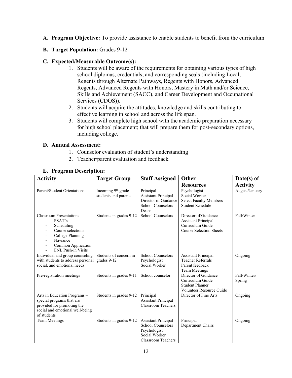**A. Program Objective:** To provide assistance to enable students to benefit from the curriculum

#### **B. Target Population:** Grades 9-12

#### **C. Expected/Measurable Outcome(s):**

- 1. Students will be aware of the requirements for obtaining various types of high school diplomas, credentials, and corresponding seals (including Local, Regents through Alternate Pathways, Regents with Honors, Advanced Regents, Advanced Regents with Honors, Mastery in Math and/or Science, Skills and Achievement (SACC), and Career Development and Occupational Services (CDOS)).
- 2. Students will acquire the attitudes, knowledge and skills contributing to effective learning in school and across the life span.
- 3. Students will complete high school with the academic preparation necessary for high school placement; that will prepare them for post-secondary options, including college.

#### **D. Annual Assessment:**

- 1. Counselor evaluation of student's understanding
- 2. Teacher/parent evaluation and feedback

| <b>Activity</b>                                                                                                                                                | <b>Target Group</b>                                    | <b>Staff Assigned</b>                                                                                                | Other                                                                                                    | Date(s) of             |
|----------------------------------------------------------------------------------------------------------------------------------------------------------------|--------------------------------------------------------|----------------------------------------------------------------------------------------------------------------------|----------------------------------------------------------------------------------------------------------|------------------------|
|                                                                                                                                                                |                                                        |                                                                                                                      | <b>Resources</b>                                                                                         | <b>Activity</b>        |
| Parent/Student Orientations                                                                                                                                    | Incoming 9 <sup>th</sup> grade<br>students and parents | Principal<br><b>Assistant Principal</b><br>Director of Guidance<br><b>School Counselors</b><br>Deans                 | Psychologist<br>Social Worker<br><b>Select Faculty Members</b><br>Student Schedule                       | August/January         |
| <b>Classroom Presentations</b><br>PSAT's<br>Scheduling<br>Course selections<br>College Planning<br>Naviance<br>Common Application<br><b>ENL Push-in Visits</b> | Students in grades 9-12                                | <b>School Counselors</b>                                                                                             | Director of Guidance<br><b>Assistant Principal</b><br>Curriculum Guide<br><b>Course Selection Sheets</b> | Fall/Winter            |
| Individual and group counseling<br>with students to address personal<br>social, and emotional needs                                                            | Students of concern in<br>grades 9-12                  | <b>School Counselors</b><br>Psychologist<br>Social Worker                                                            | <b>Assistant Principal</b><br><b>Teacher Referrals</b><br>Parent feedback<br><b>Team Meetings</b>        | Ongoing                |
| Pre-registration meetings                                                                                                                                      | Students in grades 9-11                                | School counselor                                                                                                     | Director of Guidance<br>Curriculum Guide<br><b>Student Planner</b><br>Volunteer Resource Guide           | Fall/Winter/<br>Spring |
| Arts in Education Programs -<br>special programs that are<br>provided for promoting the<br>social and emotional well-being<br>of students                      | Students in grades 9-12                                | Principal<br><b>Assistant Principal</b><br><b>Classroom Teachers</b>                                                 | Director of Fine Arts                                                                                    | Ongoing                |
| <b>Team Meetings</b>                                                                                                                                           | Students in grades 9-12                                | <b>Assistant Principal</b><br><b>School Counselors</b><br>Psychologist<br>Social Worker<br><b>Classroom Teachers</b> | Principal<br>Department Chairs                                                                           | Ongoing                |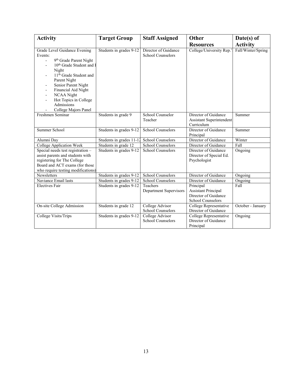| <b>Activity</b>                                                                                                                                                                                                                                                                                                        | <b>Target Group</b>      | <b>Staff Assigned</b>                            | Other                                                                                | $Date(s)$ of       |
|------------------------------------------------------------------------------------------------------------------------------------------------------------------------------------------------------------------------------------------------------------------------------------------------------------------------|--------------------------|--------------------------------------------------|--------------------------------------------------------------------------------------|--------------------|
|                                                                                                                                                                                                                                                                                                                        |                          |                                                  | <b>Resources</b>                                                                     | <b>Activity</b>    |
| Grade Level Guidance Evening<br>Events:<br>9 <sup>th</sup> Grade Parent Night<br>10 <sup>th</sup> Grade Student and I<br>Night<br>11 <sup>th</sup> Grade Student and<br>Parent Night<br>Senior Parent Night<br>Financial Aid Night<br><b>NCAA Night</b><br>Hot Topics in College<br>Admissions<br>College Majors Panel | Students in grades 9-12  | Director of Guidance<br><b>School Counselors</b> | College/University Rep.'                                                             | Fall/Winter/Spring |
| Freshmen Seminar                                                                                                                                                                                                                                                                                                       | Students in grade 9      | School Counselor<br>Teacher                      | Director of Guidance<br><b>Assistant Superintendent</b><br>Curriculum                | Summer             |
| Summer School                                                                                                                                                                                                                                                                                                          | Students in grades 9-12  | <b>School Counselors</b>                         | Director of Guidance<br>Principal                                                    | Summer             |
| Alumni Day                                                                                                                                                                                                                                                                                                             | Students in grades 11-12 | School Counselors                                | Director of Guidance                                                                 | Winter             |
| <b>College Application Week</b>                                                                                                                                                                                                                                                                                        | Students in grade 12     | <b>School Counselors</b>                         | Director of Guidance                                                                 | Fall               |
| Special needs test registration -<br>assist parents and students with<br>registering for The College<br>Board and ACT exams (for those<br>who require testing modifications)                                                                                                                                           | Students in grades 9-12  | <b>School Counselors</b>                         | Director of Guidance<br>Director of Special Ed.<br>Psychologist                      | Ongoing            |
| <b>Newsletters</b>                                                                                                                                                                                                                                                                                                     | Students in grades 9-12  | School Counselors                                | Director of Guidance                                                                 | Ongoing            |
| Naviance Email lasts                                                                                                                                                                                                                                                                                                   | Students in grades 9-12  | <b>School Counselors</b>                         | Director of Guidance                                                                 | Ongoing            |
| <b>Electives Fair</b>                                                                                                                                                                                                                                                                                                  | Students in grades 9-12  | <b>Teachers</b><br>Department Supervisors        | Principal<br><b>Assistant Principal</b><br>Director of Guidance<br>School Counselors | Fall               |
| On-site College Admission                                                                                                                                                                                                                                                                                              | Students in grade 12     | College Advisor<br>School Counselors             | College Representative<br>Director of Guidance                                       | October - January  |
| College Visits/Trips                                                                                                                                                                                                                                                                                                   | Students in grades 9-12  | College Advisor<br><b>School Counselors</b>      | College Representative<br>Director of Guidance<br>Principal                          | Ongoing            |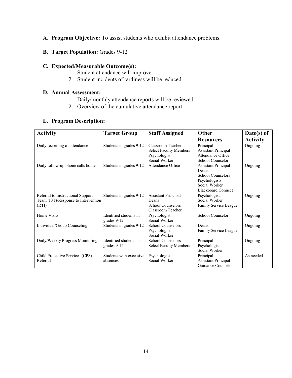- **A. Program Objective:** To assist students who exhibit attendance problems.
- **B. Target Population:** Grades 9-12

- 1. Student attendance will improve
- 2. Student incidents of tardiness will be reduced

#### **D. Annual Assessment:**

- 1. Daily/monthly attendance reports will be reviewed
- 2. Overview of the cumulative attendance report

| <b>Activity</b>                     | <b>Target Group</b>     | <b>Staff Assigned</b>         | <b>Other</b>               | $Date(s)$ of    |
|-------------------------------------|-------------------------|-------------------------------|----------------------------|-----------------|
|                                     |                         |                               | <b>Resources</b>           | <b>Activity</b> |
| Daily recording of attendance       | Students in grades 9-12 | Classroom Teacher             | Principal                  | Ongoing         |
|                                     |                         | <b>Select Faculty Members</b> | <b>Assistant Principal</b> |                 |
|                                     |                         | Psychologist                  | Attendance Office          |                 |
|                                     |                         | Social Worker                 | School Counselor           |                 |
| Daily follow-up phone calls home    | Students in grades 9-12 | Attendance Office             | <b>Assistant Principal</b> | Ongoing         |
|                                     |                         |                               | Deans                      |                 |
|                                     |                         |                               | School Counselors          |                 |
|                                     |                         |                               | Psychologists              |                 |
|                                     |                         |                               | Social Worker              |                 |
|                                     |                         |                               | <b>Blackboard Connect</b>  |                 |
| Referral to Instructional Support   | Students in grades 9-12 | <b>Assistant Principal</b>    | Psychologist               | Ongoing         |
| Team (IST)/Response to Intervention |                         | Deans                         | Social Worker              |                 |
| (RTI)                               |                         | School Counselors             | Family Service League      |                 |
|                                     |                         | Classroom Teacher             |                            |                 |
| Home Visits                         | Identified students in  | Psychologist                  | School Counselor           | Ongoing         |
|                                     | grades 9-12             | Social Worker                 |                            |                 |
| Individual/Group Counseling         | Students in grades 9-12 | School Counselors             | Deans                      | Ongoing         |
|                                     |                         | Psychologist                  | Family Service League      |                 |
|                                     |                         | Social Worker                 |                            |                 |
| Daily/Weekly Progress Monitoring    | Identified students in  | School Counselors             | Principal                  | Ongoing         |
|                                     | grades 9-12             | <b>Select Faculty Members</b> | Psychologist               |                 |
|                                     |                         |                               | Social Worker              |                 |
| Child Protective Services (CPS)     | Students with excessive | Psychologist                  | Principal                  | As needed       |
| Referral                            | absences                | Social Worker                 | <b>Assistant Principal</b> |                 |
|                                     |                         |                               | Guidance Counselor         |                 |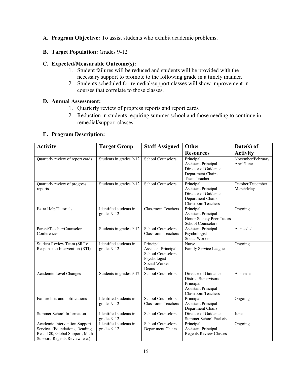- **A. Program Objective:** To assist students who exhibit academic problems.
- **B. Target Population:** Grades 9-12

- 1. Student failures will be reduced and students will be provided with the necessary support to promote to the following grade in a timely manner.
- 2. Students scheduled for remedial/support classes will show improvement in courses that correlate to those classes.

#### **D. Annual Assessment:**

- 1. Quarterly review of progress reports and report cards
- 2. Reduction in students requiring summer school and those needing to continue in remedial/support classes

| <b>Activity</b>                                                                                                                      | <b>Target Group</b>                   | <b>Staff Assigned</b>                                                                                         | Other                                                                                                                | Date(s) of                      |
|--------------------------------------------------------------------------------------------------------------------------------------|---------------------------------------|---------------------------------------------------------------------------------------------------------------|----------------------------------------------------------------------------------------------------------------------|---------------------------------|
|                                                                                                                                      |                                       |                                                                                                               | <b>Resources</b>                                                                                                     | <b>Activity</b>                 |
| Quarterly review of report cards                                                                                                     | Students in grades 9-12               | <b>School Counselors</b>                                                                                      | Principal<br><b>Assistant Principal</b><br>Director of Guidance<br>Department Chairs<br>Team Teachers                | November/February<br>April/June |
| Quarterly review of progress<br>reports                                                                                              | Students in grades 9-12               | <b>School Counselors</b>                                                                                      | Principal<br><b>Assistant Principal</b><br>Director of Guidance<br>Department Chairs<br>Classroom Teachers           | October/December<br>March/May   |
| Extra Help/Tutorials                                                                                                                 | Identified students in<br>grades 9-12 | <b>Classroom Teachers</b>                                                                                     | Principal<br><b>Assistant Principal</b><br>Honor Society Peer Tutors<br><b>School Counselors</b>                     | Ongoing                         |
| Parent/Teacher/Counselor<br>Conferences                                                                                              | Students in grades 9-12               | <b>School Counselors</b><br><b>Classroom Teachers</b>                                                         | <b>Assistant Principal</b><br>Psychologist<br>Social Worker                                                          | As needed                       |
| Student Review Team (SRT)/<br>Response to Intervention (RTI)                                                                         | Identified students in<br>grades 9-12 | Principal<br><b>Assistant Principal</b><br><b>School Counselors</b><br>Psychologist<br>Social Worker<br>Deans | Nurse<br>Family Service League                                                                                       | Ongoing                         |
| Academic Level Changes                                                                                                               | Students in grades 9-12               | <b>School Counselors</b>                                                                                      | Director of Guidance<br><b>District Supervisors</b><br>Principal<br><b>Assistant Principal</b><br>Classroom Teachers | As needed                       |
| Failure lists and notifications                                                                                                      | Identified students in<br>grades 9-12 | <b>School Counselors</b><br><b>Classroom Teachers</b>                                                         | Principal<br><b>Assistant Principal</b><br>Department Chairs                                                         | Ongoing                         |
| Summer School Information                                                                                                            | Identified students in<br>grades 9-12 | School Counselors                                                                                             | Director of Guidance<br><b>Summer School Packets</b>                                                                 | June                            |
| Academic Intervention Support<br>Services (Foundations, Reading,<br>Read 180, Global Support, Math<br>Support, Regents Review, etc.) | Identified students in<br>grades 9-12 | <b>School Counselors</b><br>Department Chairs                                                                 | Principal<br><b>Assistant Principal</b><br><b>Regents Review Classes</b>                                             | Ongoing                         |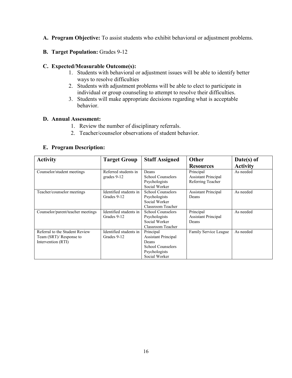- **A. Program Objective:** To assist students who exhibit behavioral or adjustment problems.
- **B. Target Population:** Grades 9-12

- 1. Students with behavioral or adjustment issues will be able to identify better ways to resolve difficulties
- 2. Students with adjustment problems will be able to elect to participate in individual or group counseling to attempt to resolve their difficulties.
- 3. Students will make appropriate decisions regarding what is acceptable behavior.

#### **D. Annual Assessment:**

- 1. Review the number of disciplinary referrals.
- 2. Teacher/counselor observations of student behavior.

| <b>Activity</b>                   | <b>Target Group</b>    | <b>Staff Assigned</b>      | Other                      | Date(s) of      |
|-----------------------------------|------------------------|----------------------------|----------------------------|-----------------|
|                                   |                        |                            | <b>Resources</b>           | <b>Activity</b> |
| Counselor/student meetings        | Referred students in   | Deans                      | Principal                  | As needed       |
|                                   | grades 9-12            | School Counselors          | <b>Assistant Principal</b> |                 |
|                                   |                        | Psychologists              | Referring Teacher          |                 |
|                                   |                        | Social Worker              |                            |                 |
| Teacher/counselor meetings        | Identified students in | School Counselors          | <b>Assistant Principal</b> | As needed       |
|                                   | Grades 9-12            | Psychologists              | Deans                      |                 |
|                                   |                        | Social Worker              |                            |                 |
|                                   |                        | Classroom Teacher          |                            |                 |
| Counselor/parent/teacher meetings | Identified students in | School Counselors          | Principal                  | As needed       |
|                                   | Grades 9-12            | Psychologists              | <b>Assistant Principal</b> |                 |
|                                   |                        | Social Worker              | Deans                      |                 |
|                                   |                        | Classroom Teacher          |                            |                 |
| Referral to the Student Review    | Identified students in | Principal                  | Family Service League      | As needed       |
| Team (SRT)/ Response to           | Grades 9-12            | <b>Assistant Principal</b> |                            |                 |
| Intervention (RTI)                |                        | Deans                      |                            |                 |
|                                   |                        | School Counselors          |                            |                 |
|                                   |                        | Psychologists              |                            |                 |
|                                   |                        | Social Worker              |                            |                 |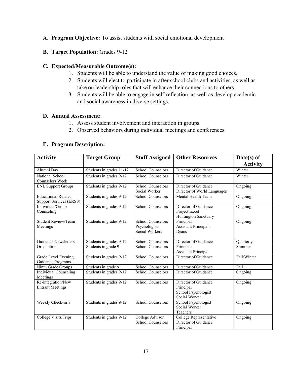#### **A. Program Objective:** To assist students with social emotional development

#### **B. Target Population:** Grades 9-12

#### **C. Expected/Measurable Outcome(s):**

- 1. Students will be able to understand the value of making good choices.
- 2. Students will elect to participate in after school clubs and activities, as well as take on leadership roles that will enhance their connections to others.
- 3. Students will be able to engage in self-reflection, as well as develop academic and social awareness in diverse settings.

#### **D. Annual Assessment:**

- 1. Assess student involvement and interaction in groups.
- 2. Observed behaviors during individual meetings and conferences.

| <b>Activity</b>                                       | <b>Target Group</b>      | <b>Staff Assigned</b>                                | <b>Other Resources</b>                                                    | $Date(s)$ of<br><b>Activity</b> |
|-------------------------------------------------------|--------------------------|------------------------------------------------------|---------------------------------------------------------------------------|---------------------------------|
| Alumni Day                                            | Students in grades 11-12 | <b>School Counselors</b>                             | Director of Guidance                                                      | Winter                          |
| National School<br>Counselors Week                    | Students in grades 9-12  | <b>School Counselors</b>                             | Director of Guidance                                                      | Winter                          |
| <b>ENL Support Groups</b>                             | Students in grades 9-12  | <b>School Counselors</b><br>Social Worker            | Director of Guidance<br>Director of World Languages                       | Ongoing                         |
| <b>Educational Related</b><br>Support Services (ERSS) | Students in grades 9-12  | <b>School Counselors</b>                             | Mental Health Team                                                        | Ongoing                         |
| Individual/Group<br>Counseling                        | Students in grades 9-12  | <b>School Counselors</b>                             | Director of Guidance<br>Project Excel<br>Huntington Sanctuary             | Ongoing                         |
| <b>Student Review/Team</b><br>Meetings                | Students in grades 9-12  | School Counselors<br>Psychologists<br>Social Workers | Principal<br><b>Assistant Principals</b><br>Deans                         | Ongoing                         |
| <b>Guidance Newsletters</b>                           | Students in grades 9-12  | School Counselors                                    | Director of Guidance                                                      | Ouarterly                       |
| Orientation                                           | Students in grade 9      | <b>School Counselors</b>                             | Principal<br><b>Assistant Principal</b>                                   | Summer                          |
| Grade Level Evening<br>Guidance Programs              | Students in grades 9-12  | <b>School Counselors</b>                             | Director of Guidance                                                      | Fall/Winter                     |
| Ninth Grade Groups                                    | Students in grade 9      | School Counselors                                    | Director of Guidance                                                      | Fall                            |
| Individual Counseling<br>Meetings                     | Students in grades 9-12  | School Counselors                                    | Director of Guidance                                                      | Ongoing                         |
| Re-integration/New<br><b>Entrant Meetings</b>         | Students in grades 9-12  | <b>School Counselors</b>                             | Director of Guidance<br>Principal<br>School Psychologist<br>Social Worker | Ongoing                         |
| Weekly Check-in's                                     | Students in grades 9-12  | <b>School Counselors</b>                             | School Psychologist<br>Social Worker<br>Teachers                          | Ongoing                         |
| College Visits/Trips                                  | Students in grades 9-12  | College Advisor<br><b>School Counselors</b>          | College Representative<br>Director of Guidance<br>Principal               | Ongoing                         |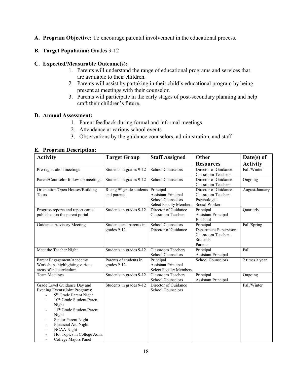- **A. Program Objective:** To encourage parental involvement in the educational process.
- **B. Target Population:** Grades 9-12

- 1. Parents will understand the range of educational programs and services that are available to their children.
- 2. Parents will assist by partaking in their child's educational program by being present at meetings with their counselor.
- 3. Parents will participate in the early stages of post-secondary planning and help craft their children's future.

#### **D. Annual Assessment:**

- 1. Parent feedback during formal and informal meetings
- 2. Attendance at various school events
- 3. Observations by the guidance counselors, administration, and staff

| <b>Activity</b>                                                                                                                                                                                                                                                                                                       | <b>Target Group</b>                                  | <b>Staff Assigned</b>                                                                                | Other                                                                                          | Date(s) of      |
|-----------------------------------------------------------------------------------------------------------------------------------------------------------------------------------------------------------------------------------------------------------------------------------------------------------------------|------------------------------------------------------|------------------------------------------------------------------------------------------------------|------------------------------------------------------------------------------------------------|-----------------|
|                                                                                                                                                                                                                                                                                                                       |                                                      |                                                                                                      | <b>Resources</b>                                                                               | <b>Activity</b> |
| Pre-registration meetings                                                                                                                                                                                                                                                                                             | Students in grades 9-12                              | School Counselors                                                                                    | Director of Guidance<br>Classroom Teachers                                                     | Fall/Winter     |
| Parent/Counselor follow-up meetings                                                                                                                                                                                                                                                                                   | Students in grades 9-12                              | School Counselors                                                                                    | Director of Guidance<br><b>Classroom Teachers</b>                                              | Ongoing         |
| Orientation/Open Houses/Building<br>Tours                                                                                                                                                                                                                                                                             | Rising 9 <sup>th</sup> grade students<br>and parents | Principal<br><b>Assistant Principal</b><br><b>School Counselors</b><br><b>Select Faculty Members</b> | Director of Guidance<br>Classroom Teachers<br>Psychologist<br>Social Worker                    | August/January  |
| Progress reports and report cards<br>published on the parent portal                                                                                                                                                                                                                                                   | Students in grades 9-12                              | Director of Guidance<br><b>Classroom Teachers</b>                                                    | Principal<br><b>Assistant Principal</b><br>E-school                                            | Quarterly       |
| Guidance Advisory Meeting                                                                                                                                                                                                                                                                                             | Students and parents in<br>grades 9-12               | <b>School Counselors</b><br>Director of Guidance                                                     | Principal<br>Department Supervisors<br><b>Classroom Teachers</b><br><b>Students</b><br>Parents | Fall/Spring     |
| Meet the Teacher Night                                                                                                                                                                                                                                                                                                | Students in grades 9-12                              | <b>Classroom Teachers</b><br>School Counselors                                                       | Principal<br><b>Assistant Principal</b>                                                        | Fall            |
| Parent Engagement/Academy<br>Workshops highlighting various<br>areas of the curriculum                                                                                                                                                                                                                                | Parents of students in<br>grades 9-12                | Principal<br><b>Assistant Principal</b><br><b>Select Faculty Members</b>                             | <b>School Counselors</b>                                                                       | 2 times a year  |
| <b>Team Meetings</b>                                                                                                                                                                                                                                                                                                  | Students in grades 9-12                              | <b>Classroom Teachers</b><br>School Counselors                                                       | Principal<br><b>Assistant Principal</b>                                                        | Ongoing         |
| Grade Level Guidance Day and<br>Evening Events/Joint Programs:<br>9th Grade Parent Night<br>10 <sup>th</sup> Grade Student/Parent<br>Night<br>11 <sup>th</sup> Grade Student/Parent<br>Night<br>Senior Parent Night<br>Financial Aid Night<br><b>NCAA</b> Night<br>Hot Topics in College Adm.<br>College Majors Panel | Students in grades 9-12                              | Director of Guidance<br><b>School Counselors</b>                                                     |                                                                                                | Fall/Winter     |